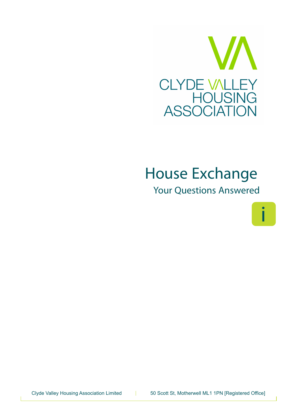

# **House Exchange**

*Your Questions Answered*



Clyde Valley Housing Association Limited | 50 Scott St, Motherwell ML1 1PN [Registered Office]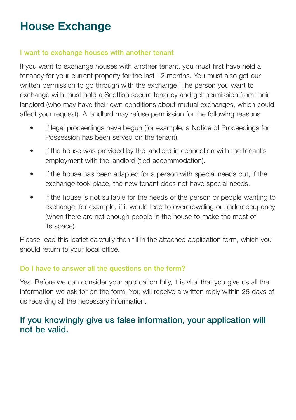## **House Exchange**

#### **I want to exchange houses with another tenant**

If you want to exchange houses with another tenant, you must first have held a tenancy for your current property for the last 12 months. You must also get our written permission to go through with the exchange. The person you want to exchange with must hold a Scottish secure tenancy and get permission from their landlord (who may have their own conditions about mutual exchanges, which could affect your request). A landlord may refuse permission for the following reasons.

- If legal proceedings have begun (for example, a Notice of Proceedings for Possession has been served on the tenant).
- If the house was provided by the landlord in connection with the tenant's employment with the landlord (tied accommodation).
- If the house has been adapted for a person with special needs but, if the exchange took place, the new tenant does not have special needs.
- If the house is not suitable for the needs of the person or people wanting to exchange, for example, if it would lead to overcrowding or underoccupancy (when there are not enough people in the house to make the most of its space).

Please read this leaflet carefully then fill in the attached application form, which you should return to your local office.

#### **Do I have to answer all the questions on the form?**

Yes. Before we can consider your application fully, it is vital that you give us all the information we ask for on the form. You will receive a written reply within 28 days of us receiving all the necessary information.

### **If you knowingly give us false information, your application will not be valid.**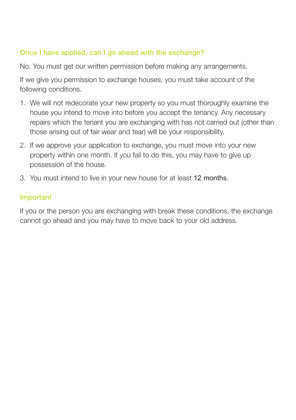#### **Once I have applied, can I go ahead with the exchange?**

No. You must get our written permission before making any arrangements.

If we give you permission to exchange houses, you must take account of the following conditions.

- 1. We will not redecorate your new property so you must thoroughly examine the house you intend to move into before you accept the tenancy. Any necessary repairs which the tenant you are exchanging with has not carried out (other than those arising out of fair wear and tear) will be your responsibility.
- 2. If we approve your application to exchange, you must move into your new property within one month. If you fail to do this, you may have to give up possession of the house.
- 3. You must intend to live in your new house for at least 12 months.

#### **Important**

If you or the person you are exchanging with break these conditions, the exchange cannot go ahead and you may have to move back to your old address.